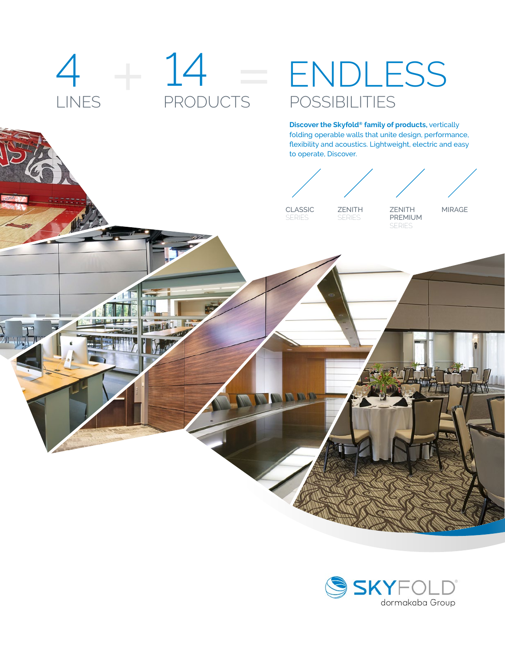# $4 + 14$ ENDLESS<br>POSSIBILITIES LINES PRODUCTS **Discover the Skyfold® family of products,** vertically folding operable walls that unite design, performance, flexibility and acoustics. Lightweight, electric and easy to operate, Discover. CLASSIC ZENITH ZENITH MIRAGEPREMIUM **SERIES SERIES** SERIES NAM

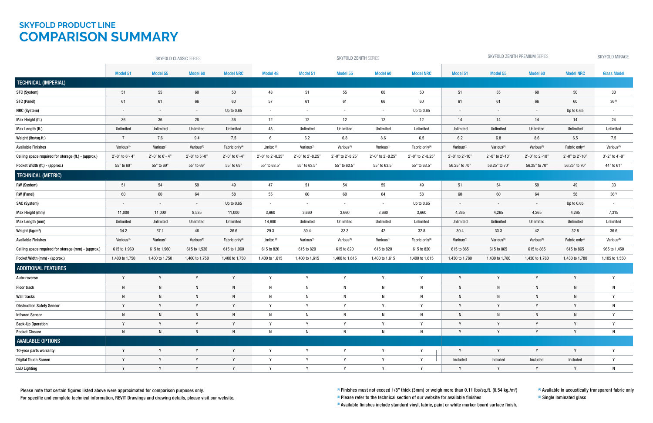(3) Available finishes include standard vinyl, fabric, paint or white marker board surface finish.

(4) Available in acoustically transparent fabric only <sup>(5)</sup> Single laminated glass

Please note that certain figures listed above were approximated for comparison purposes only.

For specific and complete technical information, REVIT Drawings and drawing details, please visit our website.

 $^{\text{\tiny{(1)}}}$  Finishes must not exceed 1/8" thick (3mm) or weigh more than 0.11 lbs/sq.ft. (0.54 kg./m²)

 $(2)$  Please refer to the technical section of our website for available finishes

## **SKYFOLD PRODUCT LINE COMPARISON SUMMARY**

|                                                      | SKYFOLD CLASSIC SERIES |                          |                        |                            | <b>SKYFOLD ZENITH SERIES</b> |                        |                        |                        |                            | SKYFOLD ZENITH PREMIUM SERIES |                          |                        |                            | SKYFOLD MIRAGE         |
|------------------------------------------------------|------------------------|--------------------------|------------------------|----------------------------|------------------------------|------------------------|------------------------|------------------------|----------------------------|-------------------------------|--------------------------|------------------------|----------------------------|------------------------|
|                                                      | Model 51               | Model 55                 | Model 60               | <b>Model NRC</b>           | <b>Model 48</b>              | Model 51               | Model 55               | Model 60               | <b>Model NRC</b>           | Model 51                      | Model 55                 | <b>Model 60</b>        | <b>Model NRC</b>           | <b>Glass Model</b>     |
| TECHNICAL (IMPERIAL)                                 |                        |                          |                        |                            |                              |                        |                        |                        |                            |                               |                          |                        |                            |                        |
| STC (System)                                         | 51                     | 55                       | 60                     | 50                         | 48                           | 51                     | 55                     | 60                     | 50                         | 51                            | 55                       | 60                     | $50\,$                     | 33                     |
| STC (Panel)                                          | 61                     | 61                       | 66                     | 60                         | 57                           | 61                     | 61                     | 66                     | 60                         | 61                            | 61                       | 66                     | 60                         | $36^{(5)}$             |
| NRC (System)                                         | $\sim$                 | $\sim$                   | $\sim$                 | Up to $0.65$               | $\sim$                       | $\sim$                 | $\sim$                 | $\sim$                 | Up to 0.65                 | $\sim$                        | $\overline{\phantom{a}}$ | $\sim$                 | Up to 0.65                 | $\blacksquare$         |
| Max Height (ft.)                                     | 36                     | 36                       | 28                     | 36                         | 12                           | 12                     | 12                     | 12                     | 12                         | 14                            | 14                       | 14                     | 14                         | 24                     |
| Max Length (ft.)                                     | Unlimited              | Unlimited                | Unlimited              | Unlimited                  | 48                           | Unlimited              | Unlimited              | Unlimited              | Unlimited                  | Unlimited                     | Unlimited                | Unlimited              | Unlimited                  | Unlimited              |
| Weight (lbs/sq.ft.)                                  | $\overline{7}$         | 7.6                      | 9.4                    | 7.5                        | 6                            | 6.2                    | 6.8                    | 8.6                    | 6.5                        | 6.2                           | 6.8                      | 8.6                    | 6.5                        | 7.5                    |
| <b>Available Finishes</b>                            | Various <sup>(1)</sup> | Various <sup>(1)</sup>   | Various <sup>(1)</sup> | Fabric only <sup>(4)</sup> | Limited <sup>(3)</sup>       | Various <sup>(1)</sup> | Various <sup>(1)</sup> | Various <sup>(1)</sup> | Fabric only <sup>(4)</sup> | Various <sup>(1)</sup>        | Various <sup>(1)</sup>   | Various <sup>(1)</sup> | Fabric only <sup>(4)</sup> | Various <sup>(2)</sup> |
| Ceiling space required for storage (ft.) - (approx.) | $2'-0$ " to 6'-4'      | $2'-0$ " to $6'-4'$      | 2'-0" to 5'-0"         | 2'-0" to 6'-4"             | 2'-0" to 2'-8.25"            | 2'-0" to 2'-8.25'      | 2'-0" to 2'-8.25"      | 2'-0" to 2'-8.25"      | 2'-0" to 2'-8.25"          | 2'-0" to 2'-10"               | 2'-0" to 2'-10"          | 2'-0" to 2'-10"        | 2'-0" to 2'-10"            | 3'-2" to 4'-9"         |
| Pocket Width (ft.) - (approx.)                       | 55" to 69"             | 55" to 69"               | 55" to 69"             | 55" to 69"                 | 55" to 63.5"                 | 55" to 63.5"           | 55" to 63.5"           | 55" to 63.5"           | 55" to 63.5"               | 56.25" to 70"                 | 56.25" to 70"            | 56.25" to 70"          | 56.25" to 70"              | 44" to 61"             |
| <b>TECHNICAL (METRIC)</b>                            |                        |                          |                        |                            |                              |                        |                        |                        |                            |                               |                          |                        |                            |                        |
| RW (System)                                          | 51                     | 54                       | 59                     | 49                         | 47                           | 51                     | 54                     | 59                     | 49                         | 51                            | 54                       | 59                     | 49                         | 33                     |
| RW (Panel)                                           | 60                     | 60                       | 64                     | 58                         | 55                           | 60                     | $60\,$                 | 64                     | 58                         | 60                            | 60                       | 64                     | 58                         | $36^{(5)}$             |
| SAC (System)                                         | $\sim$                 | $\overline{\phantom{a}}$ | $\sim$                 | Up to 0.65                 | $\sim$                       | $\sim$                 | $\sim$                 | $\sim$                 | Up to 0.65                 | $\blacksquare$                | $\overline{\phantom{a}}$ | $\sim$                 | Up to 0.65                 | $\blacksquare$         |
| Max Height (mm)                                      | 11,000                 | 11,000                   | 8,535                  | 11,000                     | 3,660                        | 3,660                  | 3,660                  | 3,660                  | 3,660                      | 4,265                         | 4,265                    | 4,265                  | 4,265                      | 7,315                  |
| Max Length (mm)                                      | Unlimited              | Unlimited                | Unlimited              | Unlimited                  | 14,600                       | Unlimited              | Unlimited              | Unlimited              | Unlimited                  | Unlimited                     | Unlimited                | Unlimited              | Unlimited                  | Unlimited              |
| Weight (kg/m <sup>2</sup> )                          | 34.2                   | 37.1                     | $46\,$                 | 36.6                       | 29.3                         | 30.4                   | 33.3                   | 42                     | 32.8                       | 30.4                          | 33.3                     | 42                     | 32.8                       | 36.6                   |
| <b>Available Finishes</b>                            | Various <sup>(1)</sup> | Various <sup>(1)</sup>   | Various <sup>(1)</sup> | Fabric only <sup>(4)</sup> | Limited <sup>(3)</sup>       | Various <sup>(1)</sup> | Various <sup>(1)</sup> | Various <sup>(1)</sup> | Fabric only <sup>(4)</sup> | Various <sup>(1)</sup>        | Various <sup>(1)</sup>   | Various <sup>(1)</sup> | Fabric only <sup>(4)</sup> | Various <sup>(2)</sup> |
| Ceiling space required for storage (mm) - (approx.)  | 615 to 1,960           | 615 to 1,960             | 615 to 1,530           | 615 to 1,960               | 615 to 820                   | 615 to 820             | 615 to 820             | 615 to 820             | 615 to 820                 | 615 to 865                    | 615 to 865               | 615 to 865             | 615 to 865                 | 965 to 1,450           |
| Pocket Width (mm) - (approx.)                        | 1,400 to 1,750         | 1,400 to 1,750           | 1,400 to 1,750         | 1,400 to 1,750             | 1,400 to 1,615               | 1,400 to 1,615         | 1,400 to 1,615         | 1,400 to 1,615         | 1,400 to 1,615             | 1,430 to 1,780                | 1,430 to 1,780           | 1,430 to 1,780         | 1,430 to 1,780             | 1,105 to 1,550         |
| <b>ADDITIONAL FEATURES</b>                           |                        |                          |                        |                            |                              |                        |                        |                        |                            |                               |                          |                        |                            |                        |
| Auto-reverse                                         | Y                      | Y                        | Y                      | Y                          | Y                            | Y                      | Y                      | Y                      | Y                          | $\mathsf{Y}$                  | Y                        | Y                      | $\mathsf{v}$               | Y                      |
| <b>Floor track</b>                                   | N                      | N                        | N                      | $\mathsf{N}$               | N                            | N                      | N                      | N                      | N                          | Ν                             | N                        | $\mathsf{N}$           |                            | N                      |
| <b>Wall tracks</b>                                   |                        |                          |                        | N                          |                              | N                      |                        |                        | N                          |                               | N                        |                        |                            |                        |
| <b>Obstruction Safety Sensor</b>                     | Y                      | $\mathsf{Y}$             | Y                      | Y                          | Y                            | Y                      | Y                      | Y                      | Y                          | Y                             | Y                        | Y                      | Y                          | N                      |
| <b>Infrared Sensor</b>                               | N                      | N                        | N                      | $\mathsf{N}$               | N                            | N                      | N                      | N                      | N                          | N                             | $\mathsf{N}$             | N                      |                            | Y                      |
| <b>Back-Up Operation</b>                             | Y                      | Y                        | Y                      | Y                          | Y                            |                        | Y                      | Y                      | Y                          |                               | Y                        | Y                      |                            | Y                      |
| <b>Pocket Closure</b>                                | N                      | N                        | N                      | $\mathsf{N}$               | N                            | N                      | N                      | N                      | N                          |                               | Y                        | Y                      |                            | N                      |
| <b>AVAILABLE OPTIONS</b>                             |                        |                          |                        |                            |                              |                        |                        |                        |                            |                               |                          |                        |                            |                        |
| 10-year parts warranty                               | Y                      | Y                        | Y                      | Y                          | Y                            | Y                      | Y                      | Y                      | Y                          | Y                             | Y                        | Y                      | Y                          | Y                      |
| <b>Digital Touch Screen</b>                          | Y                      | Y                        | Y                      | Y                          | Y                            | Y                      | Y                      | Y                      | Y                          | Included                      | Included                 | Included               | Included                   | Y                      |
| <b>LED Lighting</b>                                  | Y                      | Y                        | Y                      | Y                          | Y                            |                        | Y                      | Y                      | Y                          |                               | Y                        | Y                      |                            | N                      |